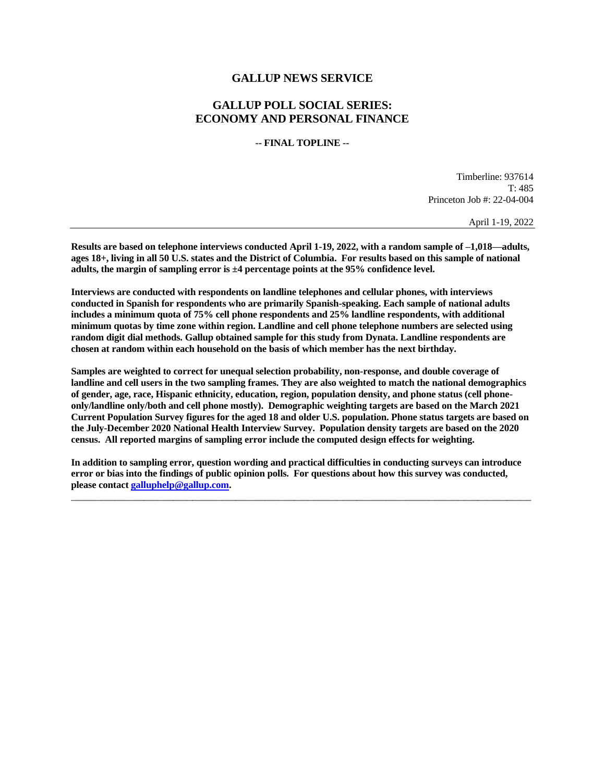## **GALLUP NEWS SERVICE**

## **GALLUP POLL SOCIAL SERIES: ECONOMY AND PERSONAL FINANCE**

**-- FINAL TOPLINE --**

Timberline: 937614 T: 485 Princeton Job #: 22-04-004

April 1-19, 2022

**Results are based on telephone interviews conducted April 1-19, 2022, with a random sample of –1,018—adults, ages 18+, living in all 50 U.S. states and the District of Columbia. For results based on this sample of national adults, the margin of sampling error is ±4 percentage points at the 95% confidence level.** 

**Interviews are conducted with respondents on landline telephones and cellular phones, with interviews conducted in Spanish for respondents who are primarily Spanish-speaking. Each sample of national adults includes a minimum quota of 75% cell phone respondents and 25% landline respondents, with additional minimum quotas by time zone within region. Landline and cell phone telephone numbers are selected using random digit dial methods. Gallup obtained sample for this study from Dynata. Landline respondents are chosen at random within each household on the basis of which member has the next birthday.**

**Samples are weighted to correct for unequal selection probability, non-response, and double coverage of landline and cell users in the two sampling frames. They are also weighted to match the national demographics of gender, age, race, Hispanic ethnicity, education, region, population density, and phone status (cell phoneonly/landline only/both and cell phone mostly). Demographic weighting targets are based on the March 2021 Current Population Survey figures for the aged 18 and older U.S. population. Phone status targets are based on the July-December 2020 National Health Interview Survey. Population density targets are based on the 2020 census. All reported margins of sampling error include the computed design effects for weighting.** 

**In addition to sampling error, question wording and practical difficulties in conducting surveys can introduce error or bias into the findings of public opinion polls. For questions about how this survey was conducted, please contac[t galluphelp@gallup.com.](mailto:galluphelp@gallup.com)**

 $\overline{\phantom{a}}$  , and the contribution of the contribution of the contribution of the contribution of the contribution of the contribution of the contribution of the contribution of the contribution of the contribution of the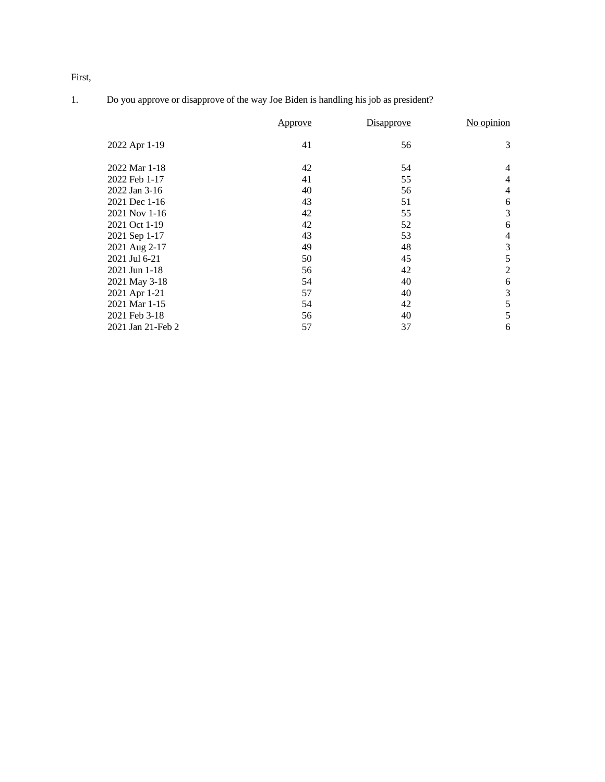First,

|  |  |  | Do you approve or disapprove of the way Joe Biden is handling his job as president? |
|--|--|--|-------------------------------------------------------------------------------------|
|  |  |  |                                                                                     |

|                   | Approve | Disapprove | No opinion     |
|-------------------|---------|------------|----------------|
| 2022 Apr 1-19     | 41      | 56         | 3              |
| 2022 Mar 1-18     | 42      | 54         | $\overline{4}$ |
| 2022 Feb 1-17     | 41      | 55         | $\overline{4}$ |
| 2022 Jan 3-16     | 40      | 56         | $\overline{4}$ |
| 2021 Dec 1-16     | 43      | 51         | 6              |
| 2021 Nov 1-16     | 42      | 55         | 3              |
| 2021 Oct 1-19     | 42      | 52         | 6              |
| 2021 Sep 1-17     | 43      | 53         | $\overline{4}$ |
| 2021 Aug 2-17     | 49      | 48         | 3              |
| 2021 Jul 6-21     | 50      | 45         | 5              |
| 2021 Jun 1-18     | 56      | 42         | $\overline{2}$ |
| 2021 May 3-18     | 54      | 40         | 6              |
| 2021 Apr 1-21     | 57      | 40         | 3              |
| 2021 Mar 1-15     | 54      | 42         | 5              |
| 2021 Feb 3-18     | 56      | 40         | 5              |
| 2021 Jan 21-Feb 2 | 57      | 37         | 6              |